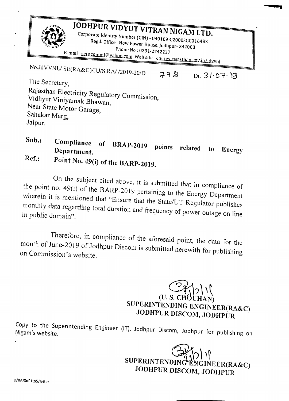| JODHPUR VIDYUT VITRAN NIGAM LTD.<br>Corporate Identity Number (CIN) -U40109RJ2000SGC016483<br>Regd. Office New Power House, Jodhpur- 342003<br>Phone No: 0291-2742227<br>E-mail seracomml@ydhoo.com Web site energy rajasthan.gov.in/idvvnl |     |             |  |  |  |  |  |
|---------------------------------------------------------------------------------------------------------------------------------------------------------------------------------------------------------------------------------------------|-----|-------------|--|--|--|--|--|
| No.JdVVNL/SE(RA&C)/JU/S.RA/ /2019-20/D<br>The Secretary,<br>Rajasthan Electricity Regulatory Commission,<br>Vidhyut Viniyamak Bhawan,<br>Near State Motor Garage,<br>Sahakar Marg,<br>Jaipur.                                               | 778 | Dt. 3107.99 |  |  |  |  |  |

 $Sub.$ : Compliance of BRAP-2019 points related to Energy **Department. Ref.: Point No. 49(i) of the BARP-2019.**

On the subject cited above, it is submitted that in compliance of the point no. 49(i) of the BARP-2019 pertaining to the Energy Department wherein it is mentioned that "Ensure that the *State/UT* Regulator publishes monthly data regarding total duration and frequency of power outage on line in public domain".

Therefore, in compliance of the aforesaid point, the data for the month of June-20 19 of Jodhpur Discom is submitted herewith for publishing on *Commission's* website.

> $(U. S. CH<sup>3</sup>) | 2 | 1$ **SUPERINTENDING ENGINEER(RA& JODHPUR DISCOM, JODHPUR**

**t4!b21**

Copy to the Superintending Engineer (IT), Jodhpur Discom, Jodhnur for publishing on Nigam's website.

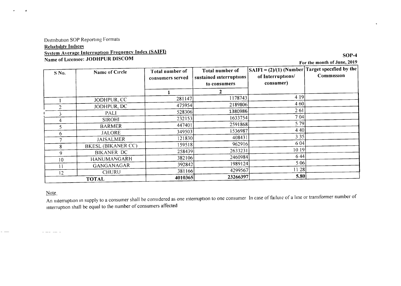# Distribution SOP Reporting Formats **Reliability Indices** System Average Interruption Frequency Index (SAIFI) Name of Licensee: JODHPUR DlSCOM

For the month of June, 2019

SOP-4

| S No.           | Name of Circle            | Total number of<br>consumers served | Total number of<br>sustained interruptions<br>to consumers | $ SAIFI = (2)/(1)$ (Number Target specified by the<br>of Interruptions/<br>consumer) | Commission |
|-----------------|---------------------------|-------------------------------------|------------------------------------------------------------|--------------------------------------------------------------------------------------|------------|
|                 |                           |                                     |                                                            |                                                                                      |            |
|                 | JODHPUR, CC               | 281147                              | 1178743                                                    | 4 1 9                                                                                |            |
|                 | JODHPUR, DC               | 475954                              | 2189806                                                    | 4 60                                                                                 |            |
| $\rightarrow$   | PALI                      | 528306                              | 1380986                                                    | 261                                                                                  |            |
| 4               | <b>SIROHI</b>             | 232153                              | 1633754                                                    | 704                                                                                  |            |
|                 | <b>BARMER</b>             | 447401                              | 2591868                                                    | 5 79                                                                                 |            |
| 6.              | <b>JALORE</b>             | 349503                              | 1536987                                                    | 4 4 0                                                                                |            |
|                 | <b>JAISALMER</b>          | 121830                              | 408431                                                     | 3 3 5                                                                                |            |
| 8               | <b>BKESL (BIKANER CC)</b> | 159518                              | 962916                                                     | 6 04                                                                                 |            |
| 9               | <b>BIKANER DC</b>         | 258439                              | 2633231                                                    | 1019                                                                                 |            |
| 10 <sup>°</sup> | HANUMANGARH               | 382106                              | 2460984                                                    | 6 4 4                                                                                |            |
|                 | GANGANAGAR                | 392842                              | 1989124                                                    | 5 0 6                                                                                |            |
| $\overline{2}$  | CHURU                     | 381166                              | 4299567                                                    | 11 28                                                                                |            |
|                 | <b>TOTAL</b>              | 4010365                             | 23266397                                                   | 5.80                                                                                 |            |

#### Note

 $\bullet$ 

 $\rightarrow$ 

An interruption in supply to a consumer shall be considered as one interruption to one consumer In case of failuie of a line or transformer number of mterruption shall be equal to the number of consumers affected

 $\begin{array}{cccccccccccccc} \cdots & \cdots & \cdots & \cdots & \cdots & \cdots \end{array}$ 

 $-$